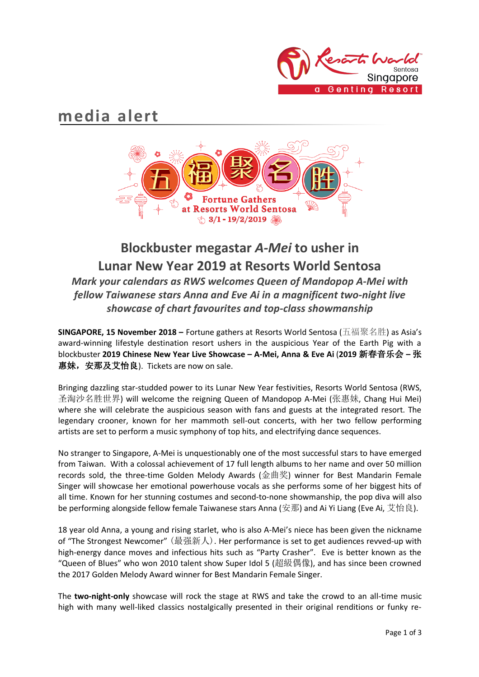

# **media alert**



# **Blockbuster megastar** *A-Mei* **to usher in Lunar New Year 2019 at Resorts World Sentosa** *Mark your calendars as RWS welcomes Queen of Mandopop A-Mei with fellow Taiwanese stars Anna and Eve Ai in a magnificent two-night live showcase of chart favourites and top-class showmanship*

**SINGAPORE, 15 November 2018 –** Fortune gathers at Resorts World Sentosa (五福聚名胜) as Asia's award-winning lifestyle destination resort ushers in the auspicious Year of the Earth Pig with a blockbuster **2019 Chinese New Year Live Showcase – A-Mei, Anna & Eve Ai** (**2019** 新春音乐会 **–** 张 惠妹,安那及艾怡良). Tickets are now on sale.

Bringing dazzling star-studded power to its Lunar New Year festivities, Resorts World Sentosa (RWS, 圣淘沙名胜世界) will welcome the reigning Queen of Mandopop A-Mei (张惠妹, Chang Hui Mei) where she will celebrate the auspicious season with fans and guests at the integrated resort. The legendary crooner, known for her mammoth sell-out concerts, with her two fellow performing artists are set to perform a music symphony of top hits, and electrifying dance sequences.

No stranger to Singapore, A-Mei is unquestionably one of the most successful stars to have emerged from Taiwan. With a colossal achievement of 17 full length albums to her name and over 50 million records sold, the three-time Golden Melody Awards (金曲奖) winner for Best Mandarin Female Singer will showcase her emotional powerhouse vocals as she performs some of her biggest hits of all time. Known for her stunning costumes and second-to-none showmanship, the pop diva will also be performing alongside fellow female Taiwanese stars Anna (安那) and Ai Yi Liang (Eve Ai, 艾怡良).

18 year old Anna, a young and rising starlet, who is also A-Mei's niece has been given the nickname of "The Strongest Newcomer" (最强新人). Her performance is set to get audiences revved-up with high-energy dance moves and infectious hits such as "Party Crasher". Eve is better known as the "Queen of Blues" who won 2010 talent show Super Idol 5 (超級偶像), and has since been crowned the 2017 Golden Melody Award winner for Best Mandarin Female Singer.

The **two-night-only** showcase will rock the stage at RWS and take the crowd to an all-time music high with many well-liked classics nostalgically presented in their original renditions or funky re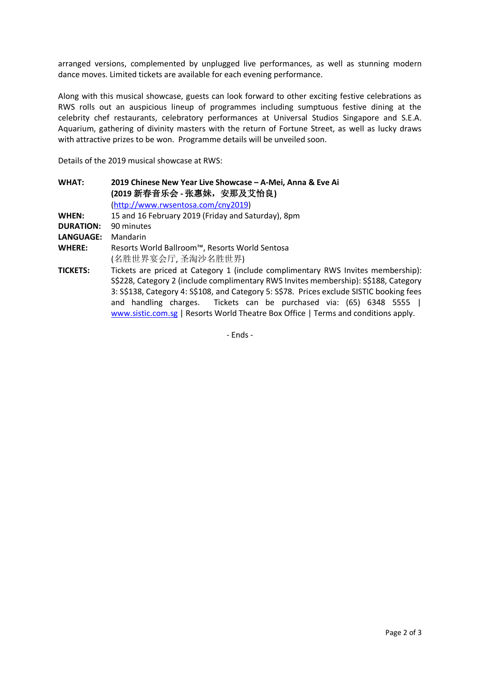arranged versions, complemented by unplugged live performances, as well as stunning modern dance moves. Limited tickets are available for each evening performance.

Along with this musical showcase, guests can look forward to other exciting festive celebrations as RWS rolls out an auspicious lineup of programmes including sumptuous festive dining at the celebrity chef restaurants, celebratory performances at Universal Studios Singapore and S.E.A. Aquarium, gathering of divinity masters with the return of Fortune Street, as well as lucky draws with attractive prizes to be won. Programme details will be unveiled soon.

Details of the 2019 musical showcase at RWS:

**WHAT: 2019 Chinese New Year Live Showcase – A-Mei, Anna & Eve Ai (2019** 新春音乐会 **-** 张惠妹,安那及艾怡良**)** (http://www.rwsentosa.com/cny2019) **WHEN:** 15 and 16 February 2019 (Friday and Saturday), 8pm **DURATION:** 90 minutes **LANGUAGE:** Mandarin **WHERE:** Resorts World Ballroom™, Resorts World Sentosa (名胜世界宴会厅, 圣淘沙名胜世界) **TICKETS:** Tickets are priced at Category 1 (include complimentary RWS Invites membership): S\$228, Category 2 (include complimentary RWS Invites membership): S\$188, Category 3: S\$138, Category 4: S\$108, and Category 5: S\$78. Prices exclude SISTIC booking fees and handling charges. Tickets can be purchased via: (65) 6348 5555 |

www.sistic.com.sg | Resorts World Theatre Box Office | Terms and conditions apply.

- Ends -